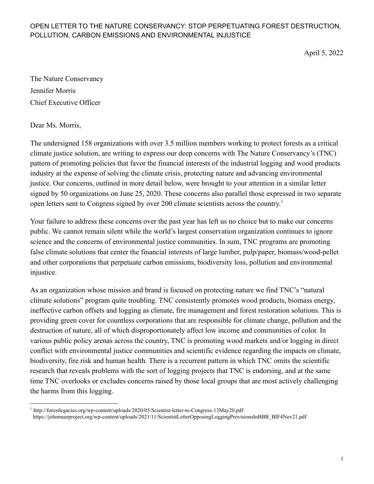April 5, 2022

The Nature Conservancy Jennifer Morris Chief Executive Officer

Dear Ms. Morris,

The undersigned 158 organizations with over 3.5 million members working to protect forests as a critical climate justice solution, are writing to express our deep concerns with The Nature Conservancy's (TNC) pattern of promoting policies that favor the financial interests of the industrial logging and wood products industry at the expense of solving the climate crisis, protecting nature and advancing environmental justice. Our concerns, outlined in more detail below, were brought to your attention in a similar letter signed by 50 organizations on June 25, 2020. These concerns also parallel those expressed in two separate open letters sent to Congress signed by over 200 climate scientists across the country. 1

Your failure to address these concerns over the past year has left us no choice but to make our concerns public. We cannot remain silent while the world's largest conservation organization continues to ignore science and the concerns of environmental justice communities. In sum, TNC programs are promoting false climate solutions that center the financial interests of large lumber, pulp/paper, biomass/wood-pellet and other corporations that perpetuate carbon emissions, biodiversity loss, pollution and environmental injustice.

As an organization whose mission and brand is focused on protecting nature we find TNC's "natural climate solutions" program quite troubling. TNC consistently promotes wood products, biomass energy, ineffective carbon offsets and logging as climate, fire management and forest restoration solutions. This is providing green cover for countless corporations that are responsible for climate change, pollution and the destruction of nature, all of which disproportionately affect low income and communities of color. In various public policy arenas across the country, TNC is promoting wood markets and/or logging in direct conflict with environmental justice communities and scientific evidence regarding the impacts on climate, biodiversity, fire risk and human health. There is a recurrent pattern in which TNC omits the scientific research that reveals problems with the sort of logging projects that TNC is endorsing, and at the same time TNC overlooks or excludes concerns raised by those local groups that are most actively challenging the harms from this logging.

<sup>1</sup> http://forestlegacies.org/wp-content/uploads/2020/05/Scientist-letter-to-Congress-13May20.pdf

https://johnmuirproject.org/wp-content/uploads/2021/11/ScientistLetterOpposingLoggingProvisionsInBBB\_BIF4Nov21.pdf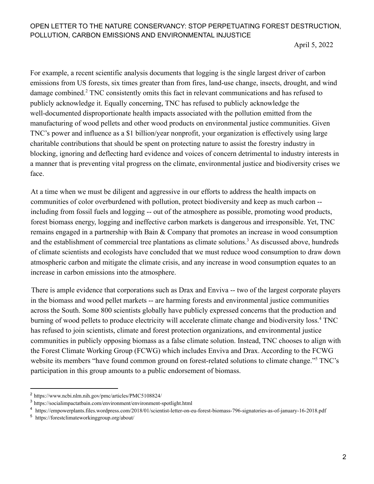April 5, 2022

For example, a recent scientific analysis documents that logging is the single largest driver of carbon emissions from US forests, six times greater than from fires, land-use change, insects, drought, and wind damage combined.<sup>2</sup> TNC consistently omits this fact in relevant communications and has refused to publicly acknowledge it. Equally concerning, TNC has refused to publicly acknowledge the well-documented disproportionate health impacts associated with the pollution emitted from the manufacturing of wood pellets and other wood products on environmental justice communities. Given TNC's power and influence as a \$1 billion/year nonprofit, your organization is effectively using large charitable contributions that should be spent on protecting nature to assist the forestry industry in blocking, ignoring and deflecting hard evidence and voices of concern detrimental to industry interests in a manner that is preventing vital progress on the climate, environmental justice and biodiversity crises we face.

At a time when we must be diligent and aggressive in our efforts to address the health impacts on communities of color overburdened with pollution, protect biodiversity and keep as much carbon - including from fossil fuels and logging -- out of the atmosphere as possible, promoting wood products, forest biomass energy, logging and ineffective carbon markets is dangerous and irresponsible. Yet, TNC remains engaged in a partnership with Bain & Company that promotes an increase in wood consumption and the establishment of commercial tree plantations as climate solutions.<sup>3</sup> As discussed above, hundreds of climate scientists and ecologists have concluded that we must reduce wood consumption to draw down atmospheric carbon and mitigate the climate crisis, and any increase in wood consumption equates to an increase in carbon emissions into the atmosphere.

There is ample evidence that corporations such as Drax and Enviva -- two of the largest corporate players in the biomass and wood pellet markets -- are harming forests and environmental justice communities across the South. Some 800 scientists globally have publicly expressed concerns that the production and burning of wood pellets to produce electricity will accelerate climate change and biodiversity loss.<sup>4</sup> TNC has refused to join scientists, climate and forest protection organizations, and environmental justice communities in publicly opposing biomass as a false climate solution. Instead, TNC chooses to align with the Forest Climate Working Group (FCWG) which includes Enviva and Drax. According to the FCWG website its members "have found common ground on forest-related solutions to climate change."<sup>5</sup> TNC's participation in this group amounts to a public endorsement of biomass.

<sup>2</sup> https://www.ncbi.nlm.nih.gov/pmc/articles/PMC5108824/

<sup>3</sup> https://socialimpactatbain.com/environment/environment-spotlight.html

<sup>4</sup> https://empowerplants.files.wordpress.com/2018/01/scientist-letter-on-eu-forest-biomass-796-signatories-as-of-january-16-2018.pdf

<sup>5</sup> https://forestclimateworkinggroup.org/about/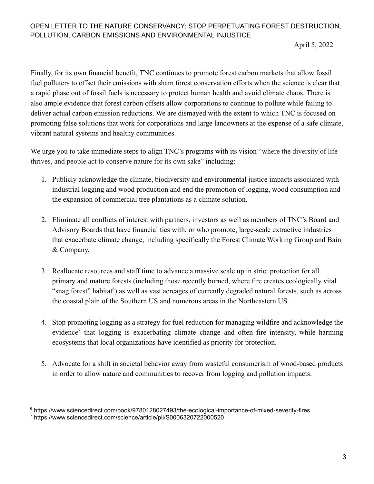April 5, 2022

Finally, for its own financial benefit, TNC continues to promote forest carbon markets that allow fossil fuel polluters to offset their emissions with sham forest conservation efforts when the science is clear that a rapid phase out of fossil fuels is necessary to protect human health and avoid climate chaos. There is also ample evidence that forest carbon offsets allow corporations to continue to pollute while failing to deliver actual carbon emission reductions. We are dismayed with the extent to which TNC is focused on promoting false solutions that work for corporations and large landowners at the expense of a safe climate, vibrant natural systems and healthy communities.

We urge you to take immediate steps to align TNC's programs with its vision "where the diversity of life" thrives, and people act to conserve nature for its own sake" including:

- 1. Publicly acknowledge the climate, biodiversity and environmental justice impacts associated with industrial logging and wood production and end the promotion of logging, wood consumption and the expansion of commercial tree plantations as a climate solution.
- 2. Eliminate all conflicts of interest with partners, investors as well as members of TNC's Board and Advisory Boards that have financial ties with, or who promote, large-scale extractive industries that exacerbate climate change, including specifically the Forest Climate Working Group and Bain & Company.
- 3. Reallocate resources and staff time to advance a massive scale up in strict protection for all primary and mature forests (including those recently burned, where fire creates ecologically vital "snag forest" habitat<sup>6</sup>) as well as vast acreages of currently degraded natural forests, such as across the coastal plain of the Southern US and numerous areas in the Northeastern US.
- 4. Stop promoting logging as a strategy for fuel reduction for managing wildfire and acknowledge the evidence<sup>7</sup> that logging is exacerbating climate change and often fire intensity, while harming ecosystems that local organizations have identified as priority for protection.
- 5. Advocate for a shift in societal behavior away from wasteful consumerism of wood-based products in order to allow nature and communities to recover from logging and pollution impacts.

<sup>6</sup> https://www.sciencedirect.com/book/9780128027493/the-ecological-importance-of-mixed-severity-fires

<sup>7</sup> https://www.sciencedirect.com/science/article/pii/S0006320722000520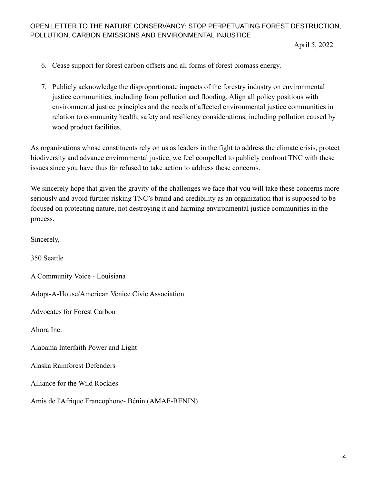April 5, 2022

- 6. Cease support for forest carbon offsets and all forms of forest biomass energy.
- 7. Publicly acknowledge the disproportionate impacts of the forestry industry on environmental justice communities, including from pollution and flooding. Align all policy positions with environmental justice principles and the needs of affected environmental justice communities in relation to community health, safety and resiliency considerations, including pollution caused by wood product facilities.

As organizations whose constituents rely on us as leaders in the fight to address the climate crisis, protect biodiversity and advance environmental justice, we feel compelled to publicly confront TNC with these issues since you have thus far refused to take action to address these concerns.

We sincerely hope that given the gravity of the challenges we face that you will take these concerns more seriously and avoid further risking TNC's brand and credibility as an organization that is supposed to be focused on protecting nature, not destroying it and harming environmental justice communities in the process.

Sincerely,

350 Seattle

A Community Voice - Louisiana

Adopt-A-House/American Venice Civic Association

Advocates for Forest Carbon

Ahora Inc.

Alabama Interfaith Power and Light

Alaska Rainforest Defenders

Alliance for the Wild Rockies

Amis de l'Afrique Francophone- Bénin (AMAF-BENIN)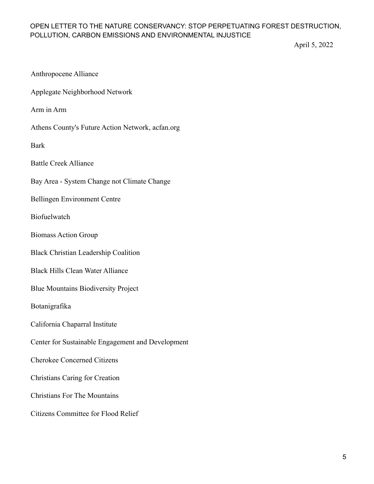April 5, 2022

| <b>Anthropocene Alliance</b> |  |
|------------------------------|--|
|------------------------------|--|

Applegate Neighborhood Network

Arm in Arm

Athens County's Future Action Network, acfan.org

Bark

Battle Creek Alliance

Bay Area - System Change not Climate Change

Bellingen Environment Centre

Biofuelwatch

Biomass Action Group

Black Christian Leadership Coalition

Black Hills Clean Water Alliance

Blue Mountains Biodiversity Project

Botanigrafika

California Chaparral Institute

Center for Sustainable Engagement and Development

Cherokee Concerned Citizens

Christians Caring for Creation

Christians For The Mountains

Citizens Committee for Flood Relief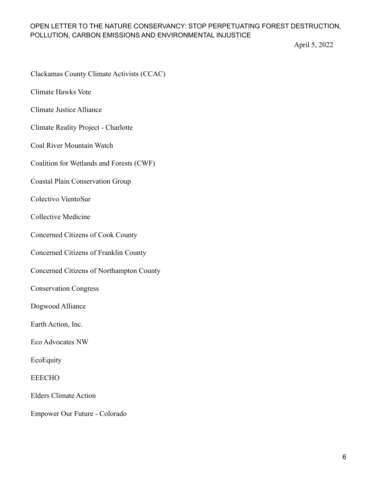April 5, 2022

Clackamas County Climate Activists (CCAC)

Climate Hawks Vote

Climate Justice Alliance

Climate Reality Project - Charlotte

Coal River Mountain Watch

Coalition for Wetlands and Forests (CWF)

Coastal Plain Conservation Group

Colectivo VientoSur

Collective Medicine

Concerned Citizens of Cook County

Concerned Citizens of Franklin County

Concerned Citizens of Northampton County

Conservation Congress

Dogwood Alliance

Earth Action, Inc.

Eco Advocates NW

**EcoEquity** 

EEECHO

Elders Climate Action

Empower Our Future - Colorado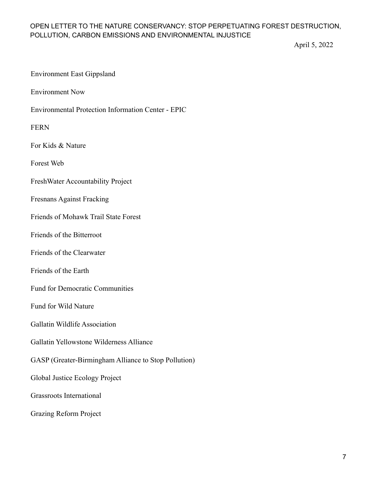April 5, 2022

### Environment East Gippsland

Environment Now

Environmental Protection Information Center - EPIC

FERN

For Kids & Nature

Forest Web

FreshWater Accountability Project

#### Fresnans Against Fracking

Friends of Mohawk Trail State Forest

Friends of the Bitterroot

Friends of the Clearwater

Friends of the Earth

Fund for Democratic Communities

Fund for Wild Nature

Gallatin Wildlife Association

Gallatin Yellowstone Wilderness Alliance

GASP (Greater-Birmingham Alliance to Stop Pollution)

Global Justice Ecology Project

Grassroots International

Grazing Reform Project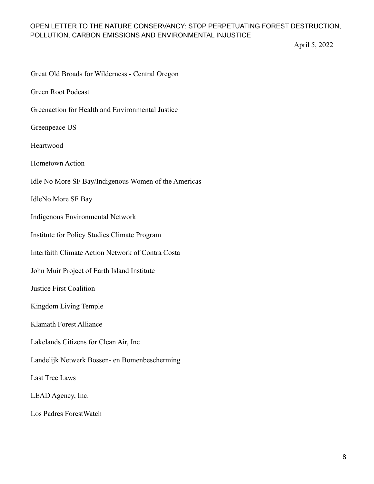April 5, 2022

| Great Old Broads for Wilderness - Central Oregon     |
|------------------------------------------------------|
| <b>Green Root Podcast</b>                            |
| Greenaction for Health and Environmental Justice     |
| Greenpeace US                                        |
| Heartwood                                            |
| Hometown Action                                      |
| Idle No More SF Bay/Indigenous Women of the Americas |
| <b>IdleNo More SF Bay</b>                            |
| Indigenous Environmental Network                     |
| Institute for Policy Studies Climate Program         |
| Interfaith Climate Action Network of Contra Costa    |
| John Muir Project of Earth Island Institute          |
| <b>Justice First Coalition</b>                       |
| Kingdom Living Temple                                |
| Klamath Forest Alliance                              |
| Lakelands Citizens for Clean Air, Inc                |
| Landelijk Netwerk Bossen- en Bomenbescherming        |
| Last Tree Laws                                       |
| LEAD Agency, Inc.                                    |
| Los Padres ForestWatch                               |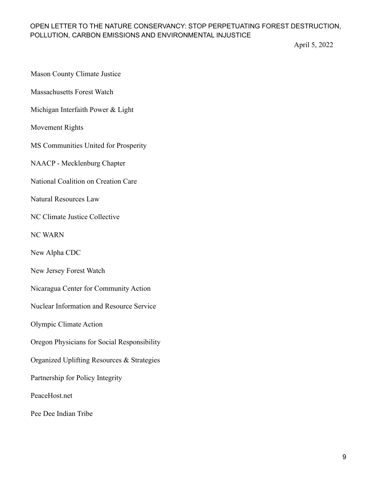April 5, 2022

- Mason County Climate Justice
- Massachusetts Forest Watch
- Michigan Interfaith Power & Light
- Movement Rights
- MS Communities United for Prosperity
- NAACP Mecklenburg Chapter
- National Coalition on Creation Care
- Natural Resources Law
- NC Climate Justice Collective
- NC WARN
- New Alpha CDC
- New Jersey Forest Watch
- Nicaragua Center for Community Action
- Nuclear Information and Resource Service
- Olympic Climate Action
- Oregon Physicians for Social Responsibility
- Organized Uplifting Resources & Strategies
- Partnership for Policy Integrity
- PeaceHost.net
- Pee Dee Indian Tribe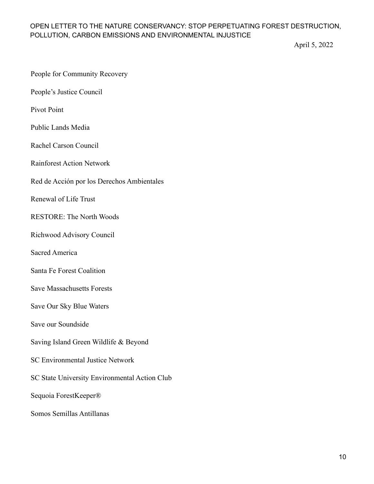April 5, 2022

|  | People for Community Recovery |  |
|--|-------------------------------|--|
|--|-------------------------------|--|

People's Justice Council

Pivot Point

Public Lands Media

Rachel Carson Council

Rainforest Action Network

Red de Acción por los Derechos Ambientales

Renewal of Life Trust

RESTORE: The North Woods

Richwood Advisory Council

Sacred America

Santa Fe Forest Coalition

Save Massachusetts Forests

Save Our Sky Blue Waters

Save our Soundside

Saving Island Green Wildlife & Beyond

SC Environmental Justice Network

SC State University Environmental Action Club

Sequoia ForestKeeper®

Somos Semillas Antillanas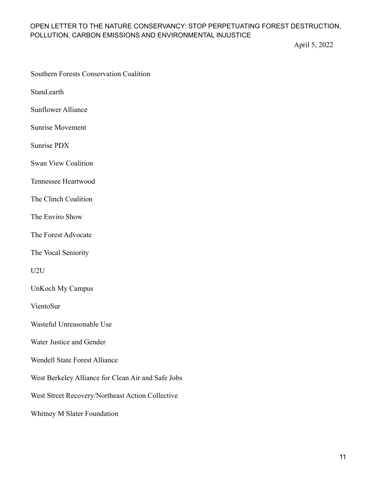April 5, 2022

Stand.earth

Sunflower Alliance

Sunrise Movement

Sunrise PDX

Swan View Coalition

Tennessee Heartwood

The Clinch Coalition

The Enviro Show

The Forest Advocate

The Vocal Seniority

U2U

UnKoch My Campus

VientoSur

Wasteful Unreasonable Use

Water Justice and Gender

Wendell State Forest Alliance

West Berkeley Alliance for Clean Air and Safe Jobs

West Street Recovery/Northeast Action Collective

Whitney M Slater Foundation